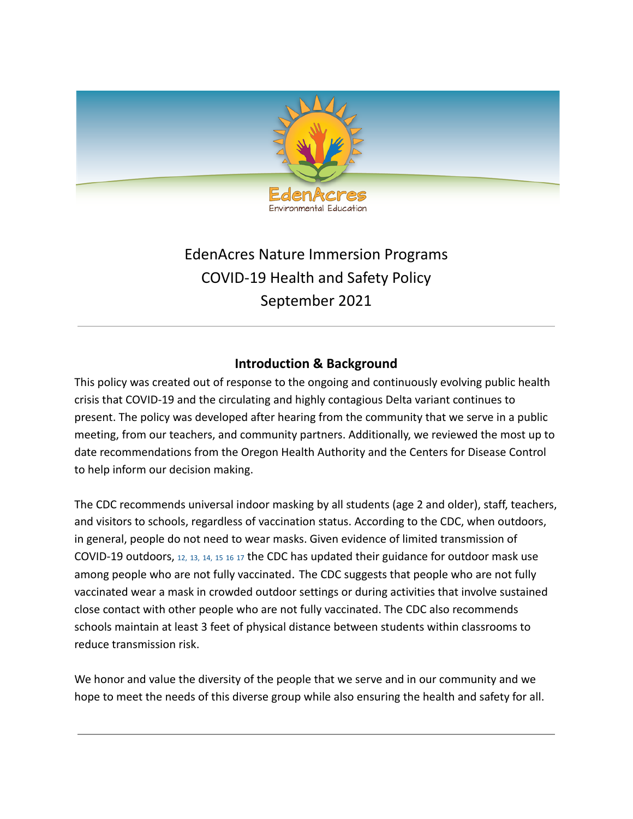

# EdenAcres Nature Immersion Programs COVID-19 Health and Safety Policy September 2021

## **Introduction & Background**

This policy was created out of response to the ongoing and continuously evolving public health crisis that COVID-19 and the circulating and highly contagious Delta variant continues to present. The policy was developed after hearing from the community that we serve in a public meeting, from our teachers, and community partners. Additionally, we reviewed the most up to date recommendations from the Oregon Health Authority and the Centers for Disease Control to help inform our decision making.

The CDC recommends universal indoor masking by all students (age 2 and older), staff, teachers, and visitors to schools, regardless of vaccination status. According to the CDC, when outdoors, in general, people do not need to wear masks. Given evidence of limited transmission of COVID-19 outdoors, [12,](https://www.cdc.gov/coronavirus/2019-ncov/community/schools-childcare/summer-camps.html#ref12) [13,](https://www.cdc.gov/coronavirus/2019-ncov/community/schools-childcare/summer-camps.html#ref13) [14,](https://www.cdc.gov/coronavirus/2019-ncov/community/schools-childcare/summer-camps.html#ref14) [15](https://www.cdc.gov/coronavirus/2019-ncov/community/schools-childcare/summer-camps.html#ref15) [16](https://www.cdc.gov/coronavirus/2019-ncov/community/schools-childcare/summer-camps.html#ref16) [17](https://www.cdc.gov/coronavirus/2019-ncov/community/schools-childcare/summer-camps.html#ref17) the CDC has updated their guidance for outdoor mask use among people who are not fully vaccinated. The CDC suggests that people who are not fully vaccinated wear a mask in crowded outdoor settings or during activities that involve sustained close contact with other people who are not fully vaccinated. The CDC also recommends schools maintain at least 3 feet of physical distance between students within classrooms to reduce transmission risk.

We honor and value the diversity of the people that we serve and in our community and we hope to meet the needs of this diverse group while also ensuring the health and safety for all.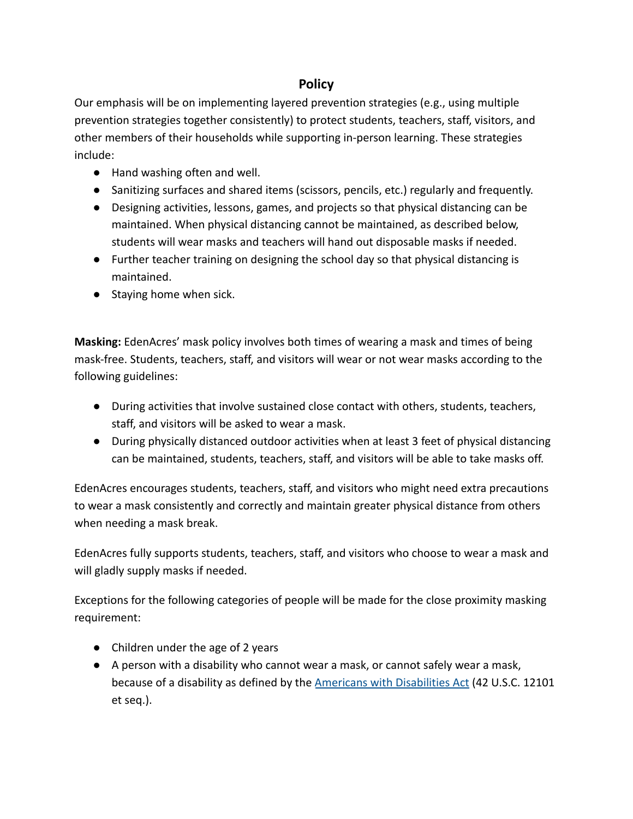# **Policy**

Our emphasis will be on implementing layered prevention strategies (e.g., using multiple prevention strategies together consistently) to protect students, teachers, staff, visitors, and other members of their households while supporting in-person learning. These strategies include:

- Hand washing often and well.
- Sanitizing surfaces and shared items (scissors, pencils, etc.) regularly and frequently.
- Designing activities, lessons, games, and projects so that physical distancing can be maintained. When physical distancing cannot be maintained, as described below, students will wear masks and teachers will hand out disposable masks if needed.
- Further teacher training on designing the school day so that physical distancing is maintained.
- Staying home when sick.

**Masking:** EdenAcres' mask policy involves both times of wearing a mask and times of being mask-free. Students, teachers, staff, and visitors will wear or not wear masks according to the following guidelines:

- During activities that involve sustained close contact with others, students, teachers, staff, and visitors will be asked to wear a mask.
- During physically distanced outdoor activities when at least 3 feet of physical distancing can be maintained, students, teachers, staff, and visitors will be able to take masks off.

EdenAcres encourages students, teachers, staff, and visitors [who might need extra precautions](https://www.cdc.gov/coronavirus/2019-ncov/need-extra-precautions/index.html) to wear a mask consistently and correctly and maintain greater physical distance from others when needing a mask break.

EdenAcres fully supports students, teachers, staff, and visitors who choose to wear a mask and will gladly supply masks if needed.

Exceptions for the following categories of people will be made for the close proximity masking requirement:

- Children under the age of 2 years
- A person with a disability who cannot wear a mask, or cannot safely wear a mask, because of a disability as defined by the Americans [with Disabilities Act](https://www.govinfo.gov/content/pkg/USCODE-2009-title42/html/USCODE-2009-title42-chap126.htm) (42 U.S.C. 12101 et seq.).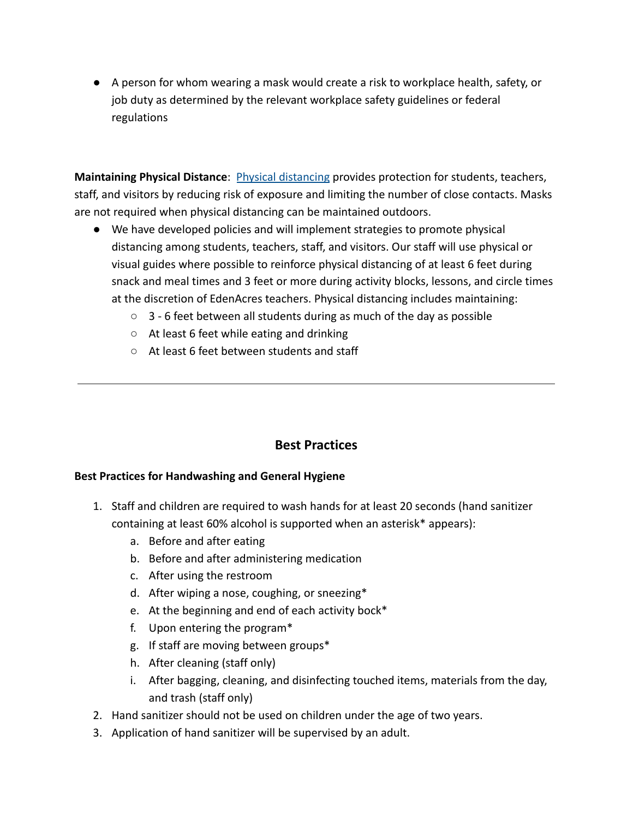● A person for whom wearing a mask would create a risk to workplace health, safety, or job duty as determined by the relevant workplace safety guidelines or federal regulations

**Maintaining Physical Distance**: [Physical distancing](https://www.cdc.gov/coronavirus/2019-ncov/prevent-getting-sick/social-distancing.html) provides protection for students, teachers, staff, and visitors by reducing risk of exposure and limiting the number of close contacts. Masks are not required when physical distancing can be maintained outdoors.

- We have developed policies and will implement strategies to promote physical distancing among students, teachers, staff, and visitors. Our staff will use physical or visual guides where possible to reinforce physical distancing of at least 6 feet during snack and meal times and 3 feet or more during activity blocks, lessons, and circle times at the discretion of EdenAcres teachers. Physical distancing includes maintaining:
	- $\circ$  3 6 feet between all students during as much of the day as possible
	- At least 6 feet while eating and drinking
	- At least 6 feet between students and staff

## **Best Practices**

#### **Best Practices for Handwashing and General Hygiene**

- 1. Staff and children are required to wash hands for at least 20 seconds (hand sanitizer containing at least 60% alcohol is supported when an asterisk\* appears):
	- a. Before and after eating
	- b. Before and after administering medication
	- c. After using the restroom
	- d. After wiping a nose, coughing, or sneezing\*
	- e. At the beginning and end of each activity bock\*
	- f. Upon entering the program\*
	- g. If staff are moving between groups\*
	- h. After cleaning (staff only)
	- i. After bagging, cleaning, and disinfecting touched items, materials from the day, and trash (staff only)
- 2. Hand sanitizer should not be used on children under the age of two years.
- 3. Application of hand sanitizer will be supervised by an adult.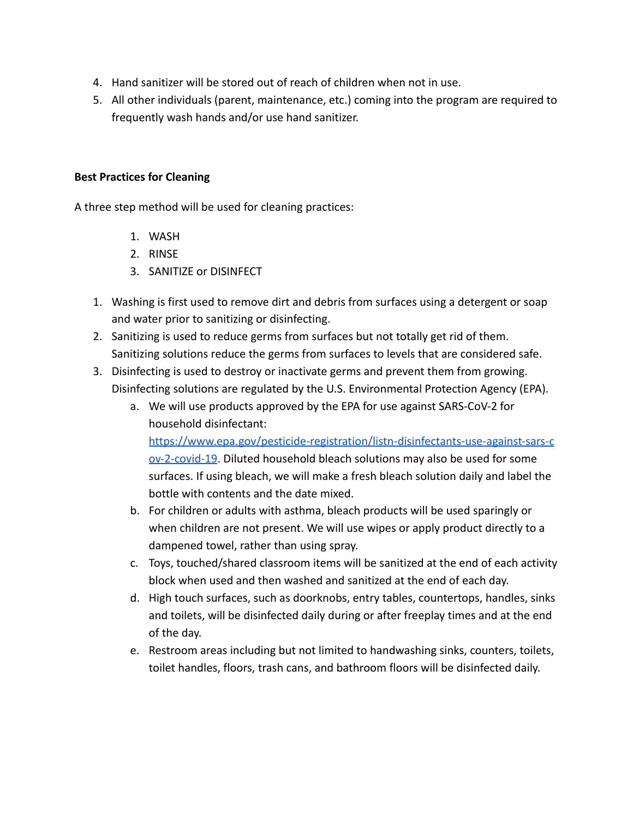- 4. Hand sanitizer will be stored out of reach of children when not in use.
- 5. All other individuals (parent, maintenance, etc.) coming into the program are required to frequently wash hands and/or use hand sanitizer.

#### **Best Practices for Cleaning**

A three step method will be used for cleaning practices:

- 1. WASH
- 2. RINSE
- 3. SANITIZE or DISINFECT
- 1. Washing is first used to remove dirt and debris from surfaces using a detergent or soap and water prior to sanitizing or disinfecting.
- 2. Sanitizing is used to reduce germs from surfaces but not totally get rid of them. Sanitizing solutions reduce the germs from surfaces to levels that are considered safe.
- 3. Disinfecting is used to destroy or inactivate germs and prevent them from growing. Disinfecting solutions are regulated by the U.S. Environmental Protection Agency (EPA).
	- a. We will use products approved by the EPA for use against SARS-CoV-2 for household disinfectant:

[https://www.epa.gov/pesticide-registration/listn-disinfectants-use-against-sars-c](https://www.epa.gov/pesticide-registration/listn-disinfectants-use-against-sars-cov-2-covid-19) [ov-2-covid-19](https://www.epa.gov/pesticide-registration/listn-disinfectants-use-against-sars-cov-2-covid-19). Diluted household bleach solutions may also be used for some surfaces. If using bleach, we will make a fresh bleach solution daily and label the bottle with contents and the date mixed.

- b. For children or adults with asthma, bleach products will be used sparingly or when children are not present. We will use wipes or apply product directly to a dampened towel, rather than using spray.
- c. Toys, touched/shared classroom items will be sanitized at the end of each activity block when used and then washed and sanitized at the end of each day.
- d. High touch surfaces, such as doorknobs, entry tables, countertops, handles, sinks and toilets, will be disinfected daily during or after freeplay times and at the end of the day.
- e. Restroom areas including but not limited to handwashing sinks, counters, toilets, toilet handles, floors, trash cans, and bathroom floors will be disinfected daily.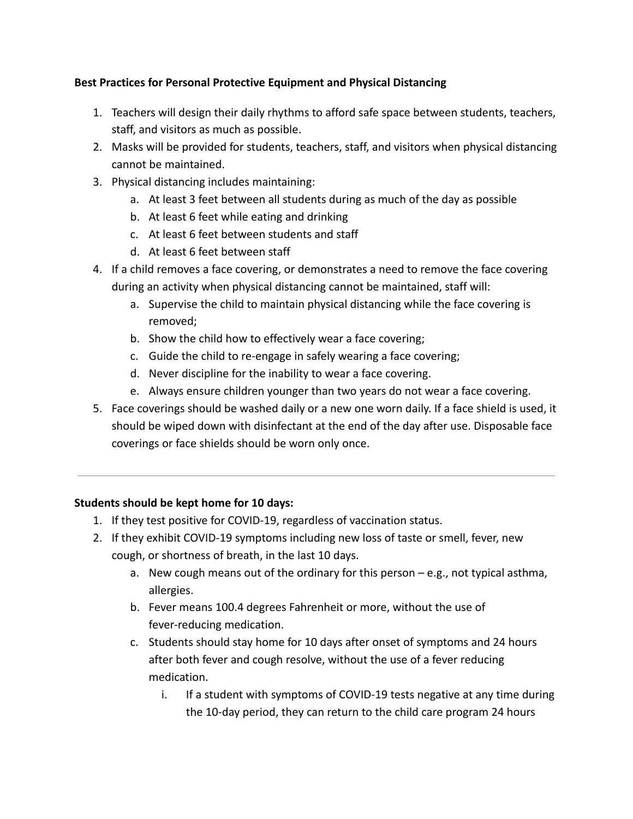#### **Best Practices for Personal Protective Equipment and Physical Distancing**

- 1. Teachers will design their daily rhythms to afford safe space between students, teachers, staff, and visitors as much as possible.
- 2. Masks will be provided for students, teachers, staff, and visitors when physical distancing cannot be maintained.
- 3. Physical distancing includes maintaining:
	- a. At least 3 feet between all students during as much of the day as possible
	- b. At least 6 feet while eating and drinking
	- c. At least 6 feet between students and staff
	- d. At least 6 feet between staff
- 4. If a child removes a face covering, or demonstrates a need to remove the face covering during an activity when physical distancing cannot be maintained, staff will:
	- a. Supervise the child to maintain physical distancing while the face covering is removed;
	- b. Show the child how to effectively wear a face covering;
	- c. Guide the child to re-engage in safely wearing a face covering;
	- d. Never discipline for the inability to wear a face covering.
	- e. Always ensure children younger than two years do not wear a face covering.
- 5. Face coverings should be washed daily or a new one worn daily. If a face shield is used, it should be wiped down with disinfectant at the end of the day after use. Disposable face coverings or face shields should be worn only once.

#### **Students should be kept home for 10 days:**

- 1. If they test positive for COVID-19, regardless of vaccination status.
- 2. If they exhibit COVID-19 symptoms including new loss of taste or smell, fever, new cough, or shortness of breath, in the last 10 days.
	- a. New cough means out of the ordinary for this person  $-e.g.,$  not typical asthma, allergies.
	- b. Fever means 100.4 degrees Fahrenheit or more, without the use of fever-reducing medication.
	- c. Students should stay home for 10 days after onset of symptoms and 24 hours after both fever and cough resolve, without the use of a fever reducing medication.
		- i. If a student with symptoms of COVID-19 tests negative at any time during the 10-day period, they can return to the child care program 24 hours